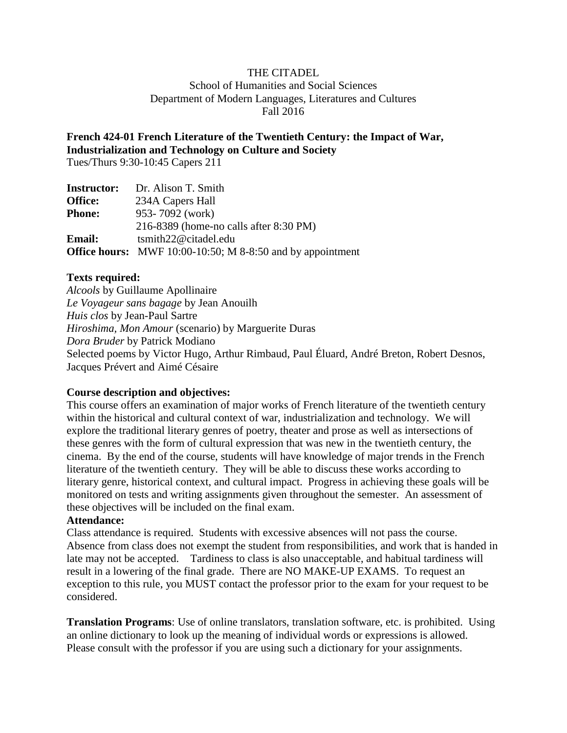## THE CITADEL

School of Humanities and Social Sciences Department of Modern Languages, Literatures and Cultures Fall 2016

**French 424-01 French Literature of the Twentieth Century: the Impact of War, Industrialization and Technology on Culture and Society**

Tues/Thurs 9:30-10:45 Capers 211

| <b>Instructor:</b> | Dr. Alison T. Smith                                               |
|--------------------|-------------------------------------------------------------------|
| <b>Office:</b>     | 234A Capers Hall                                                  |
| <b>Phone:</b>      | 953-7092 (work)                                                   |
|                    | 216-8389 (home-no calls after 8:30 PM)                            |
| <b>Email:</b>      | tsmith22@citadel.edu                                              |
|                    | <b>Office hours:</b> MWF 10:00-10:50; M 8-8:50 and by appointment |

#### **Texts required:**

*Alcools* by Guillaume Apollinaire *Le Voyageur sans bagage* by Jean Anouilh *Huis clos* by Jean-Paul Sartre *Hiroshima, Mon Amour* (scenario) by Marguerite Duras *Dora Bruder* by Patrick Modiano Selected poems by Victor Hugo, Arthur Rimbaud, Paul Éluard, André Breton, Robert Desnos, Jacques Prévert and Aimé Césaire

#### **Course description and objectives:**

This course offers an examination of major works of French literature of the twentieth century within the historical and cultural context of war, industrialization and technology. We will explore the traditional literary genres of poetry, theater and prose as well as intersections of these genres with the form of cultural expression that was new in the twentieth century, the cinema. By the end of the course, students will have knowledge of major trends in the French literature of the twentieth century. They will be able to discuss these works according to literary genre, historical context, and cultural impact. Progress in achieving these goals will be monitored on tests and writing assignments given throughout the semester. An assessment of these objectives will be included on the final exam.

#### **Attendance:**

Class attendance is required. Students with excessive absences will not pass the course. Absence from class does not exempt the student from responsibilities, and work that is handed in late may not be accepted. Tardiness to class is also unacceptable, and habitual tardiness will result in a lowering of the final grade. There are NO MAKE-UP EXAMS. To request an exception to this rule, you MUST contact the professor prior to the exam for your request to be considered.

**Translation Programs**: Use of online translators, translation software, etc. is prohibited. Using an online dictionary to look up the meaning of individual words or expressions is allowed. Please consult with the professor if you are using such a dictionary for your assignments.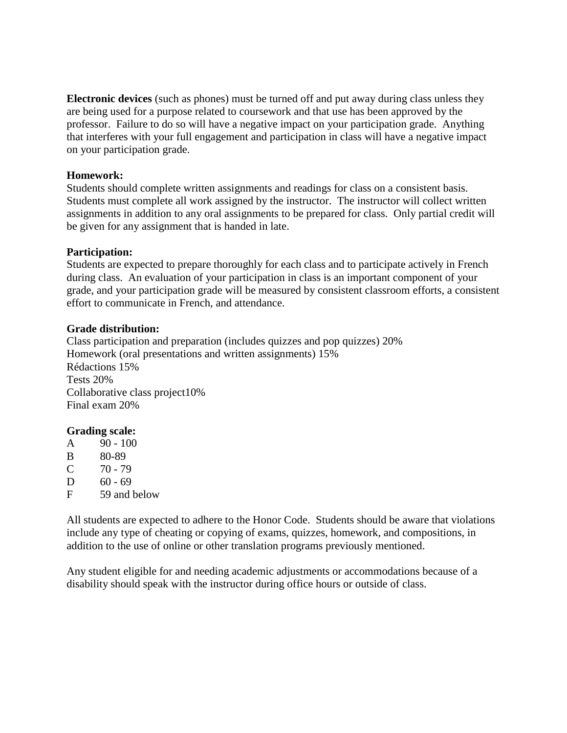**Electronic devices** (such as phones) must be turned off and put away during class unless they are being used for a purpose related to coursework and that use has been approved by the professor. Failure to do so will have a negative impact on your participation grade. Anything that interferes with your full engagement and participation in class will have a negative impact on your participation grade.

#### **Homework:**

Students should complete written assignments and readings for class on a consistent basis. Students must complete all work assigned by the instructor. The instructor will collect written assignments in addition to any oral assignments to be prepared for class. Only partial credit will be given for any assignment that is handed in late.

## **Participation:**

Students are expected to prepare thoroughly for each class and to participate actively in French during class. An evaluation of your participation in class is an important component of your grade, and your participation grade will be measured by consistent classroom efforts, a consistent effort to communicate in French, and attendance.

#### **Grade distribution:**

Class participation and preparation (includes quizzes and pop quizzes) 20% Homework (oral presentations and written assignments) 15% Rédactions 15% Tests 20% Collaborative class project10% Final exam 20%

## **Grading scale:**

| A | $90 - 100$   |
|---|--------------|
| B | 80-89        |
| C | $70 - 79$    |
| D | 60 - 69      |
| F | 59 and below |
|   |              |

All students are expected to adhere to the Honor Code. Students should be aware that violations include any type of cheating or copying of exams, quizzes, homework, and compositions, in addition to the use of online or other translation programs previously mentioned.

Any student eligible for and needing academic adjustments or accommodations because of a disability should speak with the instructor during office hours or outside of class.